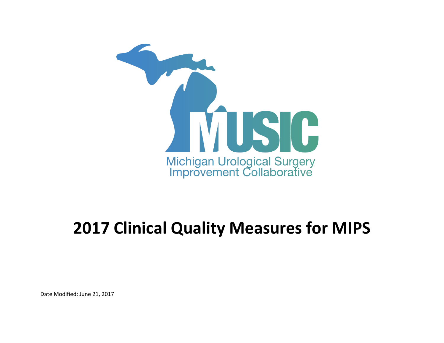

## **2017 Clinical Quality Measures for MIPS**

Date Modified: June 21, 2017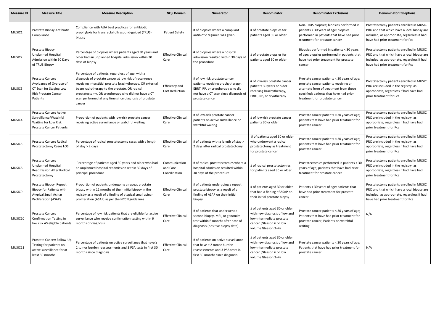| <b>Measure ID</b> | <b>Measure Title</b>                                                                                              | <b>Measure Description</b>                                                                                                                                                                                                                                                                                                                            | <b>NQS Domain</b>                         | <b>Numerator</b>                                                                                                                                                   | <b>Denominator</b>                                                                                                                              | <b>Denominator Exclusions</b>                                                                                                                                                                              | <b>Denominator Exceptions</b>                                                                                                                                             |
|-------------------|-------------------------------------------------------------------------------------------------------------------|-------------------------------------------------------------------------------------------------------------------------------------------------------------------------------------------------------------------------------------------------------------------------------------------------------------------------------------------------------|-------------------------------------------|--------------------------------------------------------------------------------------------------------------------------------------------------------------------|-------------------------------------------------------------------------------------------------------------------------------------------------|------------------------------------------------------------------------------------------------------------------------------------------------------------------------------------------------------------|---------------------------------------------------------------------------------------------------------------------------------------------------------------------------|
| MUSIC1            | Prostate Biopsy Antibiotic<br>Compliance                                                                          | Compliance with AUA best practices for antibiotic<br>prophylaxis for transrectal ultrasound-guided (TRUS)<br>biopsy                                                                                                                                                                                                                                   | <b>Patient Safety</b>                     | # of biopsies where a compliant<br>antibiotic regimen was given                                                                                                    | # of prostate biopsies for<br>patients aged 30 or older                                                                                         | Non-TRUS biopsies; biopsies performed in<br>patients < 30 years of age; biopsies<br>performed in patients that have had prior<br>treatment for prostate cancer                                             | Prostatectomy patients enrolled in MUSIC<br>PRO and that which have a local biopsy are<br>included, as appropriate, regardless if had<br>have had prior treatment for Pca |
| MUSIC2            | Prostate Biopsy:<br><b>Unplanned Hospital</b><br>Admission within 30 Days<br>of TRUS Biopsy                       | Percentage of biopsies where patients aged 30 years and<br>older had an unplanned hospital admission within 30<br>days of biopsy                                                                                                                                                                                                                      | <b>Effective Clinical</b><br>Care         | # of biopsies where a hospital<br>admission resulted within 30 days of<br>the procedure                                                                            | # of prostate biopsies for<br>patients aged 30 or older                                                                                         | Biopsies performed in patients < 30 years<br>of age; biopsies performed in patients that<br>have had prior treatment for prostate<br>cancer                                                                | Prostatectomy patients enrolled in MUSIC<br>PRO and that which have a local biopsy are<br>included, as appropriate, regardless if had<br>have had prior treatment for Pca |
| MUSIC3            | Prostate Cancer:<br>Avoidance of Overuse of<br>CT Scan for Staging Low<br><b>Risk Prostate Cancer</b><br>Patients | Percentage of patients, regardless of age, with a<br>diagnosis of prostate cancer at low risk of recurrence<br>receiving interstitial prostate brachytherapy, OR external<br>beam radiotherapy to the prostate, OR radical<br>prostatectomy, OR cryotherapy who did not have a CT<br>scan performed at any time since diagnosis of prostate<br>cancer | Efficiency and<br><b>Cost Reduction</b>   | # of low risk prostate cancer<br>patients receiving brachytherapy,<br>EBRT, RP, or cryotherapy who did<br>not have a CT scan since diagnosis of<br>prostate cancer | # of low-risk prostate cancer<br>patients 30 years or older<br>receiving brachytherapy,<br>EBRT, RP, or cryotherapy                             | Prostate cancer patients < 30 years of age;<br>prostate cancer patients receiving an<br>alternate form of treatment from those<br>specified; patients that have had prior<br>treatment for prostate cancer | Prostatectomy patients enrolled in MUSIC<br>PRO are included in the registry, as<br>appropriate, regardless if had have had<br>prior treatment for Pca                    |
| MUSIC4            | Prostate Cancer: Active<br>Surveillance/Watchful<br>Waiting for Low Risk<br><b>Prostate Cancer Patients</b>       | Proportion of patients with low-risk prostate cancer<br>receiving active surveillance or watchful waiting                                                                                                                                                                                                                                             | <b>Effective Clinical</b><br>Care         | # of low-risk prostate cancer<br>patients on active surveillance or<br>watchful waiting                                                                            | # of low-risk prostate cancer<br>patients 30 or older                                                                                           | Prostate cancer patients < 30 years of age;<br>patients that have had prior treatment for<br>prostate cancer                                                                                               | Prostatectomy patients enrolled in MUSIC<br>PRO are included in the registry, as<br>appropriate, regardless if had have had<br>prior treatment for Pca                    |
| MUSIC5            | Prostate Cancer: Radical<br>Prostatectomy Cases LOS                                                               | Percentage of radical prostatectomy cases with a length<br>of stay $>$ 2 days                                                                                                                                                                                                                                                                         | <b>Effective Clinical</b><br>Care         | # of patients with a length of stay ><br>2 days after radical prostatectomy                                                                                        | # of patients aged 30 or older<br>who underwent a radical<br>prostatectomy as treatment<br>for prostate cancer                                  | Prostate cancer patients < 30 years of age;<br>patients that have had prior treatment for<br>prostate cancer                                                                                               | Prostatectomy patients enrolled in MUSIC<br>PRO are included in the registry, as<br>appropriate, regardless if had have had<br>prior treatment for Pca                    |
| MUSIC6            | <b>Prostate Cancer:</b><br><b>Unplanned Hospital</b><br><b>Readmission After Radical</b><br>Prostatectomy         | Percentage of patients aged 30 years and older who had<br>an unplanned hospital readmission within 30 days of<br>principal procedure                                                                                                                                                                                                                  | Communication<br>and Care<br>Coordination | # of radical prostatectomies where a<br>hospital admission resulted within<br>30 days of the procedure                                                             | # of radical prostatectomies<br>for patients aged 30 or older                                                                                   | Prostatectomies performed in patients < 30<br>years of age; patients that have had prior<br>treatment for prostate cancer                                                                                  | Prostatectomy patients enrolled in MUSIC<br>PRO are included in the registry, as<br>appropriate, regardless if had have had<br>prior treatment for Pca                    |
| MUSIC9            | Prostate Biopsy: Repeat<br>Biopsy for Patients with<br><b>Atypical Small Acinar</b><br>Proliferation (ASAP)       | Proportion of patients undergoing a repeat prostate<br>biopsy within 12 months of their initial biopsy in the<br>registry as a result of a finding of atypical small acinar<br>proliferation (ASAP) as per the NCCN guidelines                                                                                                                        | <b>Effective Clinical</b><br>Care         | # of patients undergoing a repeat<br>prostate biopsy as a result of a<br>finding of ASAP on their initial<br>biopsy                                                | # of patients aged 30 or older<br>that had a finding of ASAP on<br>their initial prostate biopsy                                                | Patients < 30 years of age; patients that<br>have had prior treatment for prostate<br>cancer                                                                                                               | Prostatectomy patients enrolled in MUSIC<br>PRO and that which have a local biopsy are<br>included, as appropriate, regardless if had<br>have had prior treatment for Pca |
| MUSIC10           | Prostate Cancer:<br><b>Confirmation Testing in</b><br>low risk AS eligible patients                               | Percentage of low risk patients that are eligible for active<br>surveillance who receive confirmation testing within 6<br>months of diagnosis                                                                                                                                                                                                         | <b>Effective Clinical</b><br>Care         | # of patients that underwent a<br>second biopsy, MRI, or genomics<br>test within 6 months after date of<br>diagnosis (positive biopsy date)                        | # of patients aged 30 or older<br>with new diagnosis of low and<br>low-intermediate prostate<br>cancer (Gleason 6 or low<br>volume Gleason 3+4) | Prostate cancer patients < 30 years of age;<br>Patients that have had prior treatment for<br>prostate cancer; Patients on watchful<br>waiting                                                              | N/A                                                                                                                                                                       |
| MUSIC11           | Prostate Cancer: Follow-Up<br>Testing for patients on<br>active surveillance for at<br>least 30 months            | Percentage of patients on active surveillance that have ≥<br>2 tumor burden reassessments and 3 PSA tests in first 30<br>months since diagnosis                                                                                                                                                                                                       | <b>Effective Clinical</b><br>Care         | # of patients on active surveillance<br>that have $\geq 2$ tumor burden<br>reassessments and 3 PSA tests in<br>first 30 months since diagnosis                     | # of patients aged 30 or older<br>with new diagnosis of low and<br>low-intermediate prostate<br>cancer (Gleason 6 or low<br>volume Gleason 3+4) | Prostate cancer patients < 30 years of age;<br>Patients that have had prior treatment for<br>prostate cancer                                                                                               | N/A                                                                                                                                                                       |